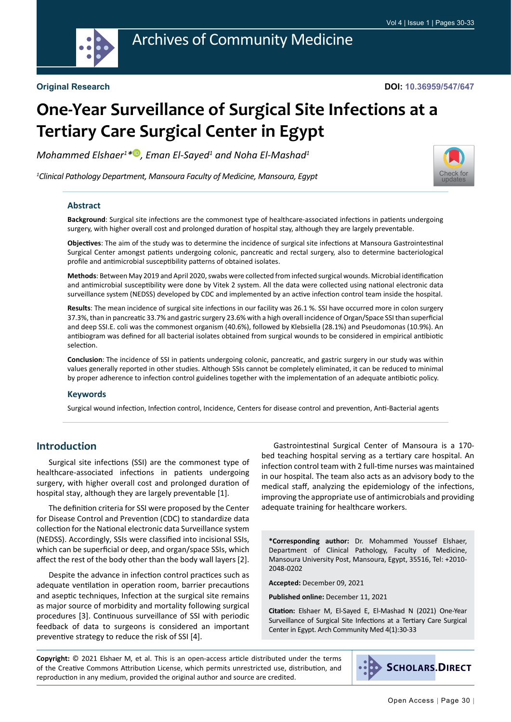

#### **Original Research**

# **One-Year Surveillance of Surgical Site Infections at a Tertiary Care Surgical Center in Egypt**

*Mohammed Elshaer1 [\\*](https://orcid.org/0000-0002-0179-2869) , Eman El-Sayed1 and Noha El-Mashad1*

*1 Clinical Pathology Department, Mansoura Faculty of Medicine, Mansoura, Egypt*



#### **Abstract**

**Background**: Surgical site infections are the commonest type of healthcare-associated infections in patients undergoing surgery, with higher overall cost and prolonged duration of hospital stay, although they are largely preventable.

**Objectives**: The aim of the study was to determine the incidence of surgical site infections at Mansoura Gastrointestinal Surgical Center amongst patients undergoing colonic, pancreatic and rectal surgery, also to determine bacteriological profile and antimicrobial susceptibility patterns of obtained isolates.

**Methods**: Between May 2019 and April 2020, swabs were collected from infected surgical wounds. Microbial identification and antimicrobial susceptibility were done by Vitek 2 system. All the data were collected using national electronic data surveillance system (NEDSS) developed by CDC and implemented by an active infection control team inside the hospital.

**Results**: The mean incidence of surgical site infections in our facility was 26.1 %. SSI have occurred more in colon surgery 37.3%, than in pancreatic 33.7% and gastric surgery 23.6% with a high overall incidence of Organ/Space SSI than superficial and deep SSI.E. coli was the commonest organism (40.6%), followed by Klebsiella (28.1%) and Pseudomonas (10.9%). An antibiogram was defined for all bacterial isolates obtained from surgical wounds to be considered in empirical antibiotic selection.

**Conclusion**: The incidence of SSI in patients undergoing colonic, pancreatic, and gastric surgery in our study was within values generally reported in other studies. Although SSIs cannot be completely eliminated, it can be reduced to minimal by proper adherence to infection control guidelines together with the implementation of an adequate antibiotic policy.

#### **Keywords**

Surgical wound infection, Infection control, Incidence, Centers for disease control and prevention, Anti-Bacterial agents

#### **Introduction**

Surgical site infections (SSI) are the commonest type of healthcare-associated infections in patients undergoing surgery, with higher overall cost and prolonged duration of hospital stay, although they are largely preventable [1].

The definition criteria for SSI were proposed by the Center for Disease Control and Prevention (CDC) to standardize data collection for the National electronic data Surveillance system (NEDSS). Accordingly, SSIs were classified into incisional SSIs, which can be superficial or deep, and organ/space SSIs, which affect the rest of the body other than the body wall layers [2].

Despite the advance in infection control practices such as adequate ventilation in operation room, barrier precautions and aseptic techniques, Infection at the surgical site remains as major source of morbidity and mortality following surgical procedures [3]. Continuous surveillance of SSI with periodic feedback of data to surgeons is considered an important preventive strategy to reduce the risk of SSI [4].

Gastrointestinal Surgical Center of Mansoura is a 170 bed teaching hospital serving as a tertiary care hospital. An infection control team with 2 full-time nurses was maintained in our hospital. The team also acts as an advisory body to the medical staff, analyzing the epidemiology of the infections, improving the appropriate use of antimicrobials and providing adequate training for healthcare workers.

**\*Corresponding author:** Dr. Mohammed Youssef Elshaer, Department of Clinical Pathology, Faculty of Medicine, Mansoura University Post, Mansoura, Egypt, 35516, Tel: +2010- 2048-0202

**Accepted:** December 09, 2021

**Published online:** December 11, 2021

**Citation:** Elshaer M, El-Sayed E, El-Mashad N (2021) One-Year Surveillance of Surgical Site Infections at a Tertiary Care Surgical Center in Egypt. Arch Community Med 4(1):30-33

**Copyright:** © 2021 Elshaer M, et al. This is an open-access article distributed under the terms of the Creative Commons Attribution License, which permits unrestricted use, distribution, and reproduction in any medium, provided the original author and source are credited.

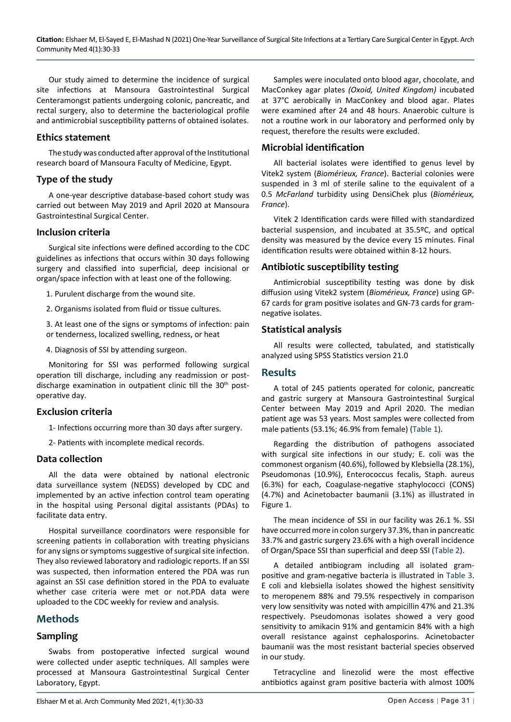Our study aimed to determine the incidence of surgical site infections at Mansoura Gastrointestinal Surgical Centeramongst patients undergoing colonic, pancreatic, and rectal surgery, also to determine the bacteriological profile and antimicrobial susceptibility patterns of obtained isolates.

#### **Ethics statement**

The study was conducted after approval of the Institutional research board of Mansoura Faculty of Medicine, Egypt.

#### **Type of the study**

A one-year descriptive database-based cohort study was carried out between May 2019 and April 2020 at Mansoura Gastrointestinal Surgical Center.

#### **Inclusion criteria**

Surgical site infections were defined according to the CDC guidelines as infections that occurs within 30 days following surgery and classified into superficial, deep incisional or organ/space infection with at least one of the following.

1. Purulent discharge from the wound site.

2. Organisms isolated from fluid or tissue cultures.

3. At least one of the signs or symptoms of infection: pain or tenderness, localized swelling, redness, or heat

4. Diagnosis of SSI by attending surgeon.

Monitoring for SSI was performed following surgical operation till discharge, including any readmission or postdischarge examination in outpatient clinic till the 30<sup>th</sup> postoperative day.

#### **Exclusion criteria**

1- Infections occurring more than 30 days after surgery.

2- Patients with incomplete medical records.

#### **Data collection**

All the data were obtained by national electronic data surveillance system (NEDSS) developed by CDC and implemented by an active infection control team operating in the hospital using Personal digital assistants (PDAs) to facilitate data entry.

Hospital surveillance coordinators were responsible for screening patients in collaboration with treating physicians for any signs or symptoms suggestive of surgical site infection. They also reviewed laboratory and radiologic reports. If an SSI was suspected, then information entered the PDA was run against an SSI case definition stored in the PDA to evaluate whether case criteria were met or not.PDA data were uploaded to the CDC weekly for review and analysis.

# **Methods**

#### **Sampling**

Swabs from postoperative infected surgical wound were collected under aseptic techniques. All samples were processed at Mansoura Gastrointestinal Surgical Center Laboratory, Egypt.

Samples were inoculated onto blood agar, chocolate, and MacConkey agar plates *(Oxoid, United Kingdom)* incubated at 37°C aerobically in MacConkey and blood agar. Plates were examined after 24 and 48 hours. Anaerobic culture is not a routine work in our laboratory and performed only by request, therefore the results were excluded.

#### **Microbial identification**

All bacterial isolates were identified to genus level by Vitek2 system (*Biomérieux, France*). Bacterial colonies were suspended in 3 ml of sterile saline to the equivalent of a 0.5 *McFarland* turbidity using DensiChek plus (*Biomérieux, France*).

Vitek 2 Identification cards were filled with standardized bacterial suspension, and incubated at 35.5ºC, and optical density was measured by the device every 15 minutes. Final identification results were obtained within 8-12 hours.

#### **Antibiotic susceptibility testing**

Antimicrobial susceptibility testing was done by disk diffusion using Vitek2 system (*Biomérieux, France*) using GP-67 cards for gram positive isolates and GN-73 cards for gramnegative isolates.

#### **Statistical analysis**

All results were collected, tabulated, and statistically analyzed using SPSS Statistics version 21.0

#### **Results**

A total of 245 patients operated for colonic, pancreatic and gastric surgery at Mansoura Gastrointestinal Surgical Center between May 2019 and April 2020. The median patient age was 53 years. Most samples were collected from male patients (53.1%; 46.9% from female) ([Table 1](#page-2-0)).

Regarding the distribution of pathogens associated with surgical site infections in our study; E. coli was the commonest organism (40.6%), followed by Klebsiella (28.1%), Pseudomonas (10.9%), Enterococcus fecalis, Staph. aureus (6.3%) for each, Coagulase-negative staphylococci (CONS) (4.7%) and Acinetobacter baumanii (3.1%) as illustrated in Figure 1.

The mean incidence of SSI in our facility was 26.1 %. SSI have occurred more in colon surgery 37.3%, than in pancreatic 33.7% and gastric surgery 23.6% with a high overall incidence of Organ/Space SSI than superficial and deep SSI [\(Table 2\)](#page-2-1).

A detailed antibiogram including all isolated grampositive and gram-negative bacteria is illustrated in [Table 3](#page-2-2). E coli and klebsiella isolates showed the highest sensitivity to meropenem 88% and 79.5% respectively in comparison very low sensitivity was noted with ampicillin 47% and 21.3% respectively. Pseudomonas isolates showed a very good sensitivity to amikacin 91% and gentamicin 84% with a high overall resistance against cephalosporins. Acinetobacter baumanii was the most resistant bacterial species observed in our study.

Tetracycline and linezolid were the most effective antibiotics against gram positive bacteria with almost 100%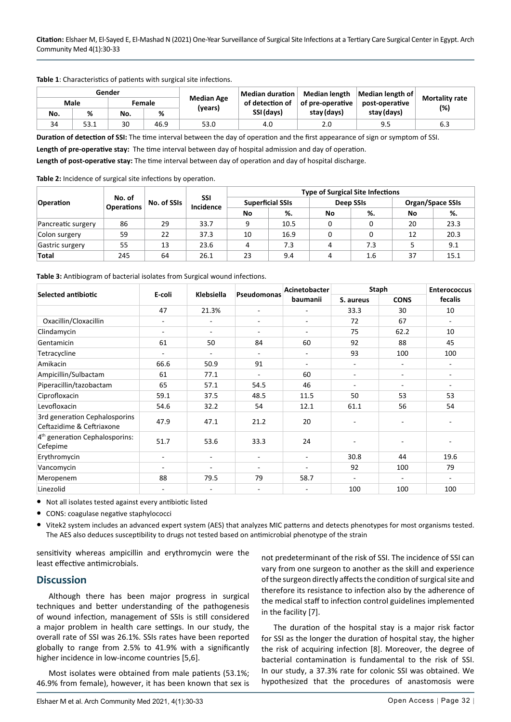| Gender |      |        |      |                   | Median duration | Median length    | Median length of |                              |  |
|--------|------|--------|------|-------------------|-----------------|------------------|------------------|------------------------------|--|
| Male   |      | Female |      | <b>Median Age</b> | of detection of | of pre-operative | post-operative   | <b>Mortality rate</b><br>(%) |  |
| No.    | %    | No.    | %    | (vears)           | SSI (days)      | stay (days)      | stay (days)      |                              |  |
| 34     | 53.1 | 30     | 46.9 | 53.0              | 4.0             | 2.0              | 9.5              | 6.3                          |  |

<span id="page-2-0"></span>**Table 1**: Characteristics of patients with surgical site infections.

**Duration of detection of SSI:** The time interval between the day of operation and the first appearance of sign or symptom of SSI.

**Length of pre-operative stay:** The time interval between day of hospital admission and day of operation.

**Length of post-operative stay:** The time interval between day of operation and day of hospital discharge.

<span id="page-2-1"></span>**Table 2:** Incidence of surgical site infections by operation.

|                    | No. of<br><b>Operations</b> | No. of SSIs | SSI<br>Incidence | <b>Type of Surgical Site Infections</b> |      |                  |     |                         |      |  |
|--------------------|-----------------------------|-------------|------------------|-----------------------------------------|------|------------------|-----|-------------------------|------|--|
| <b>Operation</b>   |                             |             |                  | <b>Superficial SSIs</b>                 |      | <b>Deep SSIs</b> |     | <b>Organ/Space SSIs</b> |      |  |
|                    |                             |             |                  | No                                      | %.   | No               | %.  | No                      | %.   |  |
| Pancreatic surgery | 86                          | 29          | 33.7             | q                                       | 10.5 |                  |     | 20                      | 23.3 |  |
| Colon surgery      | 59                          | 22          | 37.3             | 10                                      | 16.9 |                  |     | 12                      | 20.3 |  |
| Gastric surgery    | 55                          | 13          | 23.6             | 4                                       | 7.3  | 4                | 7.3 |                         | 9.1  |  |
| <b>Total</b>       | 245                         | 64          | 26.1             | 23                                      | 9.4  | 4                | 1.6 | 37                      | 15.1 |  |

<span id="page-2-2"></span>

|                                                            | E-coli                   | Klebsiella |                          | Acinetobacter | <b>Staph</b>             |                          | <b>Enterococcus</b>      |
|------------------------------------------------------------|--------------------------|------------|--------------------------|---------------|--------------------------|--------------------------|--------------------------|
| <b>Selected antibiotic</b>                                 |                          |            | Pseudomonas              | baumanii      | S. aureus                | <b>CONS</b>              | fecalis                  |
|                                                            | 47                       | 21.3%      | $\overline{\phantom{a}}$ | ٠             | 33.3                     | 30                       | 10                       |
| Oxacillin/Cloxacillin                                      |                          |            |                          | ٠             | 72                       | 67                       | $\sim$                   |
| Clindamycin                                                | $\overline{\phantom{a}}$ |            |                          | ۰             | 75                       | 62.2                     | 10                       |
| Gentamicin                                                 | 61                       | 50         | 84                       | 60            | 92                       | 88                       | 45                       |
| Tetracycline                                               |                          |            |                          | ۰.            | 93                       | 100                      | 100                      |
| Amikacin                                                   | 66.6                     | 50.9       | 91                       | ٠             | $\overline{\phantom{a}}$ | ٠                        | $\overline{\phantom{a}}$ |
| Ampicillin/Sulbactam                                       | 61                       | 77.1       |                          | 60            | $\overline{\phantom{a}}$ | $\overline{\phantom{0}}$ | $\overline{\phantom{a}}$ |
| Piperacillin/tazobactam                                    | 65                       | 57.1       | 54.5                     | 46            | ۰.                       | $\overline{\phantom{0}}$ | $\overline{\phantom{a}}$ |
| Ciprofloxacin                                              | 59.1                     | 37.5       | 48.5                     | 11.5          | 50                       | 53                       | 53                       |
| Levofloxacin                                               | 54.6                     | 32.2       | 54                       | 12.1          | 61.1                     | 56                       | 54                       |
| 3rd generation Cephalosporins<br>Ceftazidime & Ceftriaxone | 47.9                     | 47.1       | 21.2                     | 20            |                          |                          |                          |
| 4 <sup>th</sup> generation Cephalosporins:<br>Cefepime     | 51.7                     | 53.6       | 33.3                     | 24            |                          |                          |                          |
| Erythromycin                                               |                          |            |                          | ٠             | 30.8                     | 44                       | 19.6                     |
| Vancomycin                                                 |                          |            |                          |               | 92                       | 100                      | 79                       |
| Meropenem                                                  | 88                       | 79.5       | 79                       | 58.7          | $\blacksquare$           |                          | $\overline{\phantom{a}}$ |
| Linezolid                                                  |                          |            | ۰                        |               | 100                      | 100                      | 100                      |

**•** Not all isolates tested against every antibiotic listed

**•** CONS: coagulase negative staphylococci

**•** Vitek2 system includes an advanced expert system (AES) that analyzes MIC patterns and detects phenotypes for most organisms tested. The AES also deduces susceptibility to drugs not tested based on antimicrobial phenotype of the strain

sensitivity whereas ampicillin and erythromycin were the least effective antimicrobials.

#### **Discussion**

Although there has been major progress in surgical techniques and better understanding of the pathogenesis of wound infection, management of SSIs is still considered a major problem in health care settings. In our study, the overall rate of SSI was 26.1%. SSIs rates have been reported globally to range from 2.5% to 41.9% with a significantly higher incidence in low-income countries [5,6].

Most isolates were obtained from male patients (53.1%; 46.9% from female), however, it has been known that sex is not predeterminant of the risk of SSI. The incidence of SSI can vary from one surgeon to another as the skill and experience of the surgeon directly affects the condition of surgical site and therefore its resistance to infection also by the adherence of the medical staff to infection control guidelines implemented in the facility [7].

The duration of the hospital stay is a major risk factor for SSI as the longer the duration of hospital stay, the higher the risk of acquiring infection [8]. Moreover, the degree of bacterial contamination is fundamental to the risk of SSI. In our study, a 37.3% rate for colonic SSI was obtained. We hypothesized that the procedures of anastomosis were